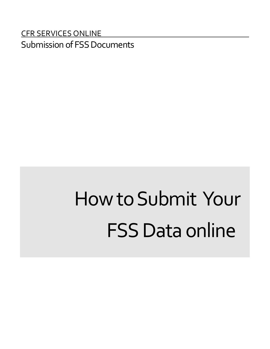#### CFR SERVICES ONLINE Submission of FSS Documents

### HowtoSubmit Your **FSS Data online**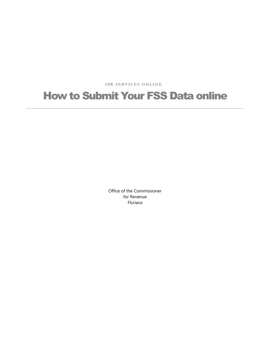**CFR S ERVIC E S O N LI NE**

#### How to Submit Your FSS Data online

Office of the Commissioner for Revenue Floriana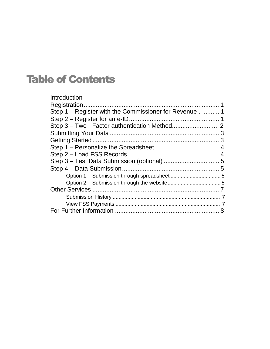#### Table of Contents

| Introduction                                            |  |
|---------------------------------------------------------|--|
|                                                         |  |
| Step 1 – Register with the Commissioner for Revenue . 1 |  |
|                                                         |  |
|                                                         |  |
|                                                         |  |
|                                                         |  |
|                                                         |  |
|                                                         |  |
|                                                         |  |
|                                                         |  |
|                                                         |  |
|                                                         |  |
|                                                         |  |
|                                                         |  |
|                                                         |  |
|                                                         |  |
|                                                         |  |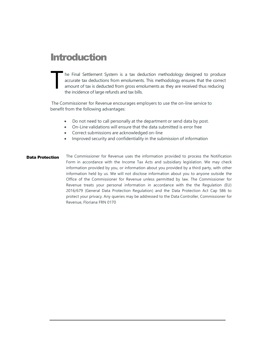#### **Introduction**

T he Final Settlement System is a tax deduction methodology designed to produce accurate tax deductions from emoluments. This methodology ensures that the correct amount of tax is deducted from gross emoluments as they are received thus reducing the incidence of large refunds and tax bills.

The Commissioner for Revenue encourages employers to use the on-line service to benefit from the following advantages:

- Do not need to call personally at the department or send data by post.
- On-Line validations will ensure that the data submitted is error free
- Correct submissions are acknowledged on-line
- Improved security and confidentiality in the submission of information
- Data Protection The Commissioner for Revenue uses the information provided to process the Notification Form in accordance with the Income Tax Acts and subsidiary legislation. We may check information provided by you, or information about you provided by a third party, with other information held by us. We will not disclose information about you to anyone outside the Office of the Commissioner for Revenue unless permitted by law. The Commissioner for Revenue treats your personal information in accordance with the the Regulation (EU) 2016/679 (General Data Protection Regulation) and the Data Protection Act Cap 586 to protect your privacy. Any queries may be addressed to the Data Controller, Commissioner for Revenue, Floriana FRN 0170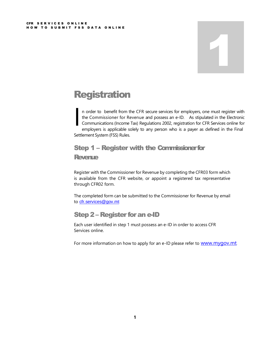# 1

#### **Registration**

I n order to benefit from the CFR secure services for employers, one must register with the Commissioner for Revenue and possess an e-ID. As stipulated in the Electronic Communications (Income Tax) Regulations 2002, registration for CFR Services online for employers is applicable solely to any person who is a payer as defined in the Final Settlement System (FSS) Rules.

#### Step 1 – Register with the Commissioner for

#### Revenue

Register with the Commissioner for Revenue by completing the CFR03 form which is available from the CFR website, or appoint a registered tax representative through CFR02 form.

The completed form can be submitted to the Commissioner for Revenue by email to [cfr.services@gov.mt](mailto:cfr.services@gov.mt)

#### Step 2 - Register for an e-ID

Each user identified in step 1 must possess an e-ID in order to access CFR Services online.

For more information on how to apply for an e-ID please refer to www.myqov.mt.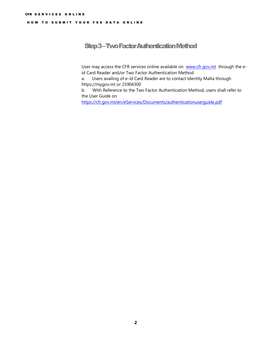#### Step 3 –Two Factor Authentication Method

User may access the CFR services online available on [www.cfr.gov.mt](http://www.cfr.gov.mt/) through the eid Card Reader and/or Two Factor Authentication Method

a. Users availing of e-id Card Reader are to contact Identity Malta through [https://mygov.mt](https://mygov.mt/) or 25904300

b. With Reference to the Two Factor Authentication Method, users shall refer to the [User Guide](https://cfr.gov.mt/en/eServices/Documents/authenticationuserguide.pdf) on

<https://cfr.gov.mt/en/eServices/Documents/authenticationuserguide.pdf>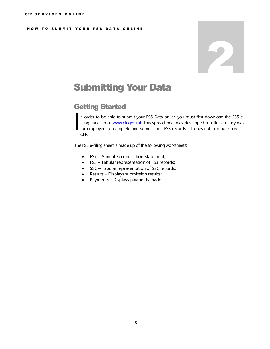## 2

#### Submitting Your Data

#### Getting Started

In order to be able to submit your FSS Data online you must first download the FSS<br>filing sheet from www.cfr.gov.mt. This spreadsheet was developed to offer an easy<br>for employers to complete and submit their FSS records. I n order to be able to submit your FSS Data online you must first download the FSS efiling sheet from **[www.cfr.gov.mt](http://www.cfr.gov.m/)**. This [spreadsheet](http://www.cfr.gov.m/) was developed to offer an easy way CFR

The FSS e-filing sheet is made up of the following worksheets:

- FS7 Annual Reconciliation Statement;
- FS3 Tabular representation of FS3 records;
- SSC Tabular representation of SSC records;
- Results Displays submission results;
- Payments Displays payments made.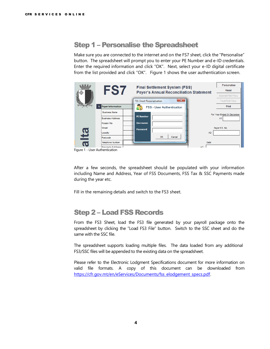#### Step 1 – Personalise the Spreadsheet

Make sure you are connected to the internet and on the FS7 sheet, click the "Personalise" button. The spreadsheet will prompt you to enter your PE Number and e-ID credentials. Enter the required information and click "OK". Next, select your e-ID digital certificate from the list provided and click "OK". Figure 1 shows the user authentication screen.

|                         | FS7                            | <b>Final Settlement System (FSS)</b><br><b>Payer's Annual Reconciliation Statement</b> | Personalise<br>Reset<br>Submit FSS Files |
|-------------------------|--------------------------------|----------------------------------------------------------------------------------------|------------------------------------------|
|                         |                                | $-23$<br><b>FSS Sheet Personalisation</b>                                              | <b>Test FSS Files</b>                    |
| <b><i>Patienter</i></b> | <b>Payer Information</b>       | <b>FSS - User Authentication</b><br>Ŧ                                                  | Print                                    |
|                         | <b>Business Name</b>           |                                                                                        | For Year Ended 31 December               |
|                         | <b>Business Address</b>        | <b>PE Number</b>                                                                       | A <sub>1</sub>                           |
|                         | House / No.                    | <b>Username</b>                                                                        |                                          |
|                         | <b>Street</b>                  | <b>Password</b>                                                                        | Payer P.E. No.                           |
|                         | Locality                       | A2                                                                                     |                                          |
| 업                       | Postcode                       | Cancel<br>OK                                                                           |                                          |
| $\overline{\mathbf{C}}$ | <b>Telephone Number</b>        | Date                                                                                   |                                          |
|                         | <b>Drincinal's Full Name</b>   | 43                                                                                     |                                          |
|                         | Figure 1 - User Authentication |                                                                                        |                                          |

After a few seconds, the spreadsheet should be populated with your information including Name and Address, Year of FSS Documents, FSS Tax & SSC Payments made during the year etc.

Fill in the remaining details and switch to the FS3 sheet.

#### Step 2 – Load FSS Records

From the FS3 Sheet, load the FS3 file generated by your payroll package onto the spreadsheet by clicking the "Load FS3 File" button. Switch to the SSC sheet and do the same with the SSC file.

The spreadsheet supports loading multiple files. The data loaded from any additional FS3/SSC files will be appended to the existing data on the spreadsheet.

Please refer to the Electronic Lodgment Specifications document for more information on valid file formats. A copy of this document can be downloaded from [https://cfr.gov.mt/en/eServices/Documents/fss\\_elodgement\\_specs.pdf.](https://cfr.gov.mt/en/eServices/Documents/fss_elodgement_specs.pdf)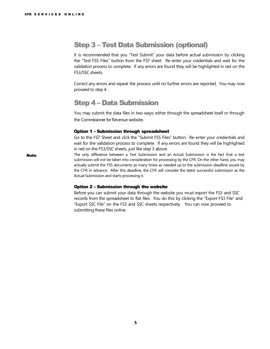#### Step 3 – Test Data Submission (optional)

It is recommended that you "Test Submit" your data before actual submission by clicking the "Test FSS Files" button from the FS7 sheet. Re-enter your credentials and wait for the validation process to complete. If any errors are found they will be highlighted in red on the FS3/SSC sheets.

Correct any errors and repeat the process until no further errors are reported. You may now proceed to step 4.

#### Step 4 – Data Submission

You may submit the data files in two ways: either through the spreadsheet itself or through the Commissioner for Revenue website.

#### Option 1 – Submission through spreadsheet

Go to the FS7 Sheet and click the "Submit FSS Files" button. Re-enter your credentials and wait for the validation process to complete. If any errors are found they will be highlighted in red on the FS3/SSC sheets, just like step 3 above.

Note The only difference between a Test Submission and an Actual Submission is the fact that a test submission will not be taken into consideration for processing by the CFR. On the other hand, you may actually submit the FSS documents as many times as needed up to the submission deadline issued by the CFR in advance. After this deadline, the CFR will consider the latest successful submission as the Actual Submission and starts processing it.

#### Option 2 – Submission through the website

Before you can submit your data through the website you must export the FS3 and SSC records from the spreadsheet to flat files. You do this by clicking the "Export FS3 File" and "Export SSC File" on the FS3 and SSC sheets respectively. You can now proceed to submitting these files online.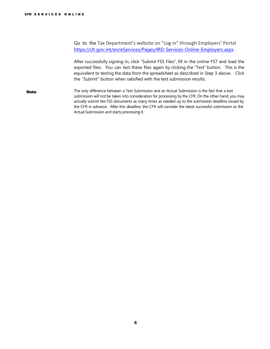Go to the Tax Department's website on "Log in" through Employers' Portal <https://cfr.gov.mt/en/eServices/Pages/IRD-Services-Online-Employers.aspx> .

After successfully signing-in, click "Submit FSS Files", fill in the online FS7 and load the exported files. You can test these files again by clicking the "Test" button. This is the equivalent to testing the data from the spreadsheet as described in Step 3 above. Click the "Submit" button when satisfied with the test submission results.

Note The only difference between a Test Submission and an Actual Submission is the fact that a test submission will not be taken into consideration for processing by the CFR. On the other hand, you may actually submit the FSS documents as many times as needed up to the submission deadline issued by the CFR in advance. After this deadline, the CFR will consider the latest successful submission as the Actual Submission and starts processing it.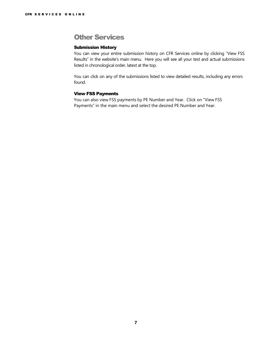#### Other Services

#### Submission History

You can view your entire submission history on CFR Services online by clicking "View FSS Results" in the website's main menu. Here you will see all your test and actual submissions listed in chronological order, latest at the top.

You can click on any of the submissions listed to view detailed results, including any errors found.

#### View FSS Payments

You can also view FSS payments by PE Number and Year. Click on "View FSS Payments" in the main menu and select the desired PE Number and Year.